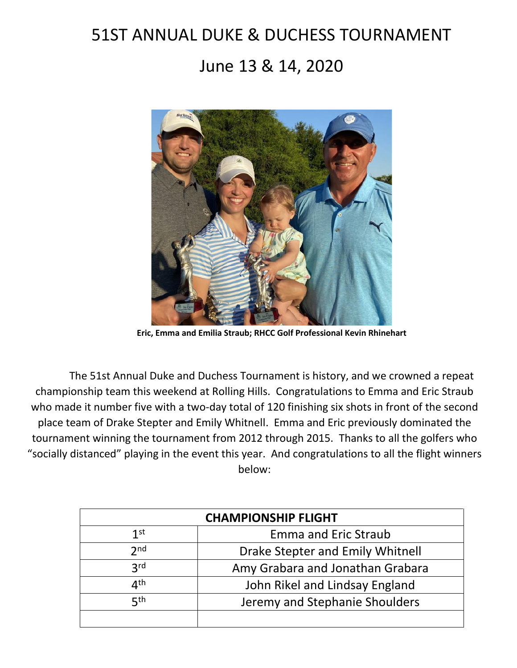## 51ST ANNUAL DUKE & DUCHESS TOURNAMENT

## June 13 & 14, 2020



**Eric, Emma and Emilia Straub; RHCC Golf Professional Kevin Rhinehart**

The 51st Annual Duke and Duchess Tournament is history, and we crowned a repeat championship team this weekend at Rolling Hills. Congratulations to Emma and Eric Straub who made it number five with a two-day total of 120 finishing six shots in front of the second place team of Drake Stepter and Emily Whitnell. Emma and Eric previously dominated the tournament winning the tournament from 2012 through 2015. Thanks to all the golfers who "socially distanced" playing in the event this year. And congratulations to all the flight winners below:

| <b>CHAMPIONSHIP FLIGHT</b> |                                  |
|----------------------------|----------------------------------|
| 1 <sup>st</sup>            | <b>Emma and Eric Straub</b>      |
| 2 <sub>nd</sub>            | Drake Stepter and Emily Whitnell |
| 3 <sup>rd</sup>            | Amy Grabara and Jonathan Grabara |
| ⊿th                        | John Rikel and Lindsay England   |
| $\nabla$ th                | Jeremy and Stephanie Shoulders   |
|                            |                                  |